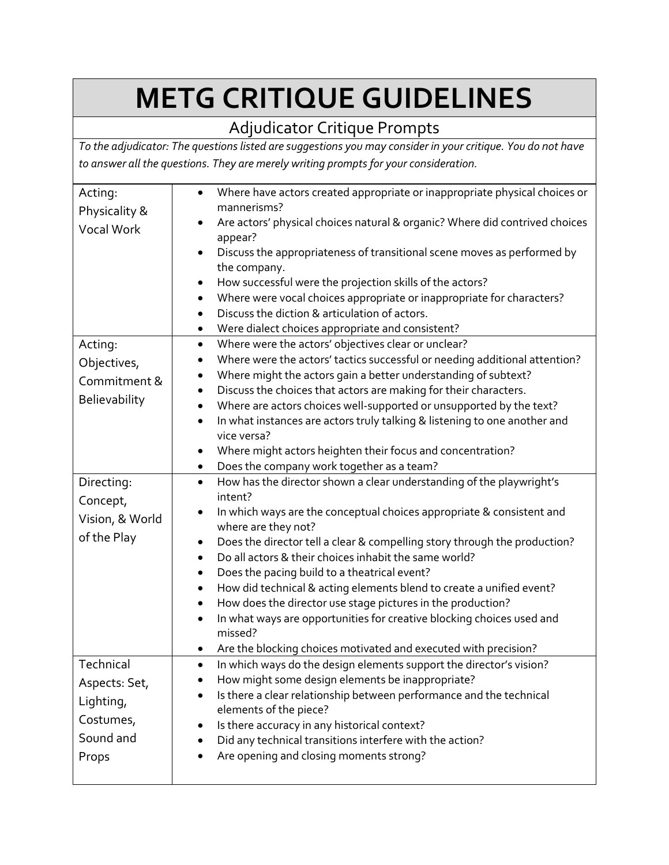# **METG CRITIQUE GUIDELINES**

### Adjudicator Critique Prompts

*To the adjudicator: The questions listed are suggestions you may consider in your critique. You do not have to answer all the questions. They are merely writing prompts for your consideration.* 

| Acting:         | Where have actors created appropriate or inappropriate physical choices or<br>$\bullet$                                                                                    |
|-----------------|----------------------------------------------------------------------------------------------------------------------------------------------------------------------------|
| Physicality &   | mannerisms?<br>Are actors' physical choices natural & organic? Where did contrived choices                                                                                 |
| Vocal Work      | appear?                                                                                                                                                                    |
|                 | Discuss the appropriateness of transitional scene moves as performed by                                                                                                    |
|                 | the company.                                                                                                                                                               |
|                 | How successful were the projection skills of the actors?<br>$\bullet$                                                                                                      |
|                 | Where were vocal choices appropriate or inappropriate for characters?                                                                                                      |
|                 | Discuss the diction & articulation of actors.                                                                                                                              |
|                 | Were dialect choices appropriate and consistent?<br>$\bullet$                                                                                                              |
| Acting:         | Where were the actors' objectives clear or unclear?<br>$\bullet$                                                                                                           |
| Objectives,     | Where were the actors' tactics successful or needing additional attention?<br>$\bullet$                                                                                    |
| Commitment &    | Where might the actors gain a better understanding of subtext?                                                                                                             |
| Believability   | Discuss the choices that actors are making for their characters.<br>$\bullet$                                                                                              |
|                 | Where are actors choices well-supported or unsupported by the text?<br>$\bullet$<br>In what instances are actors truly talking & listening to one another and<br>$\bullet$ |
|                 | vice versa?                                                                                                                                                                |
|                 | Where might actors heighten their focus and concentration?<br>$\bullet$                                                                                                    |
|                 | Does the company work together as a team?<br>$\bullet$                                                                                                                     |
| Directing:      | How has the director shown a clear understanding of the playwright's<br>$\bullet$                                                                                          |
| Concept,        | intent?                                                                                                                                                                    |
| Vision, & World | In which ways are the conceptual choices appropriate & consistent and<br>٠                                                                                                 |
| of the Play     | where are they not?                                                                                                                                                        |
|                 | Does the director tell a clear & compelling story through the production?                                                                                                  |
|                 | Do all actors & their choices inhabit the same world?                                                                                                                      |
|                 | Does the pacing build to a theatrical event?<br>$\bullet$<br>How did technical & acting elements blend to create a unified event?<br>$\bullet$                             |
|                 | How does the director use stage pictures in the production?                                                                                                                |
|                 | In what ways are opportunities for creative blocking choices used and                                                                                                      |
|                 | missed?                                                                                                                                                                    |
|                 | Are the blocking choices motivated and executed with precision?                                                                                                            |
| Technical       | In which ways do the design elements support the director's vision?<br>$\bullet$                                                                                           |
| Aspects: Set,   | How might some design elements be inappropriate?                                                                                                                           |
| Lighting,       | Is there a clear relationship between performance and the technical                                                                                                        |
|                 | elements of the piece?                                                                                                                                                     |
| Costumes,       | Is there accuracy in any historical context?                                                                                                                               |
| Sound and       | Did any technical transitions interfere with the action?                                                                                                                   |
| Props           | Are opening and closing moments strong?                                                                                                                                    |
|                 |                                                                                                                                                                            |